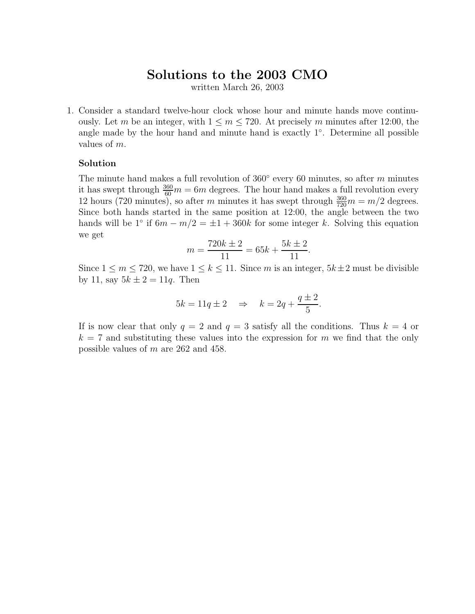# **Solutions to the 2003 CMO**

written March 26, 2003

1. Consider a standard twelve-hour clock whose hour and minute hands move continuously. Let *m* be an integer, with  $1 \leq m \leq 720$ . At precisely *m* minutes after 12:00, the angle made by the hour hand and minute hand is exactly 1◦. Determine all possible values of *m*.

#### **Solution**

The minute hand makes a full revolution of 360◦ every 60 minutes, so after *m* minutes it has swept through  $\frac{360}{60}m = 6m$  degrees. The hour hand makes a full revolution every 12 hours (720 minutes), so after *m* minutes it has swept through  $\frac{360}{720}m = m/2$  degrees. Since both hands started in the same position at 12:00, the angle between the two hands will be  $1°$  if  $6m - m/2 = \pm 1 + 360k$  for some integer k. Solving this equation we get

$$
m = \frac{720k \pm 2}{11} = 65k + \frac{5k \pm 2}{11}.
$$

Since  $1 \leq m \leq 720$ , we have  $1 \leq k \leq 11$ . Since *m* is an integer,  $5k \pm 2$  must be divisible by 11, say  $5k \pm 2 = 11q$ . Then

$$
5k = 11q \pm 2 \quad \Rightarrow \quad k = 2q + \frac{q \pm 2}{5}.
$$

If is now clear that only  $q = 2$  and  $q = 3$  satisfy all the conditions. Thus  $k = 4$  or  $k = 7$  and substituting these values into the expression for *m* we find that the only possible values of *m* are 262 and 458.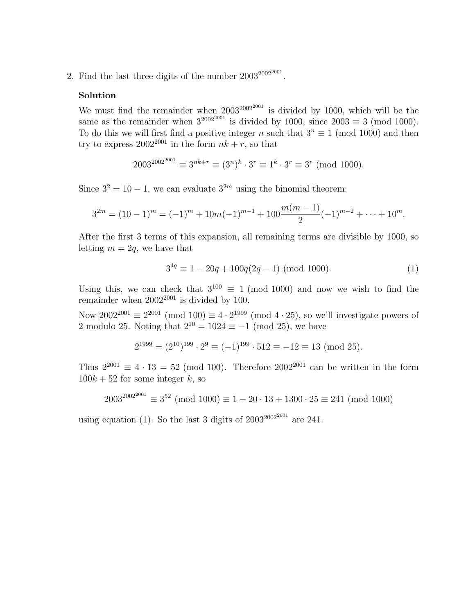2. Find the last three digits of the number  $2003^{2002^{2001}}$ .

#### **Solution**

We must find the remainder when  $2003^{2002^{2001}}$  is divided by 1000, which will be the same as the remainder when  $3^{2002^{2001}}$  is divided by 1000, since  $2003 \equiv 3 \pmod{1000}$ . To do this we will first find a positive integer *n* such that  $3^n \equiv 1 \pmod{1000}$  and then try to express  $2002^{2001}$  in the form  $nk + r$ , so that

$$
2003^{2002^{2001}} \equiv 3^{nk+r} \equiv (3^n)^k \cdot 3^r \equiv 1^k \cdot 3^r \equiv 3^r \pmod{1000}.
$$

Since  $3^2 = 10 - 1$ , we can evaluate  $3^{2m}$  using the binomial theorem:

$$
3^{2m} = (10-1)^m = (-1)^m + 10m(-1)^{m-1} + 100\frac{m(m-1)}{2}(-1)^{m-2} + \dots + 10^m.
$$

After the first 3 terms of this expansion, all remaining terms are divisible by 1000, so letting  $m = 2q$ , we have that

$$
3^{4q} \equiv 1 - 20q + 100q(2q - 1) \pmod{1000}.
$$
 (1)

Using this, we can check that  $3^{100} \equiv 1 \pmod{1000}$  and now we wish to find the remainder when  $2002^{2001}$  is divided by 100.

Now  $2002^{2001} \equiv 2^{2001} \pmod{100} \equiv 4 \cdot 2^{1999} \pmod{4 \cdot 25}$ , so we'll investigate powers of 2 modulo 25. Noting that  $2^{10} = 1024 \equiv -1 \pmod{25}$ , we have

$$
2^{1999} = (2^{10})^{199} \cdot 2^9 \equiv (-1)^{199} \cdot 512 \equiv -12 \equiv 13 \pmod{25}.
$$

Thus  $2^{2001} \equiv 4 \cdot 13 = 52 \pmod{100}$ . Therefore  $2002^{2001}$  can be written in the form  $100k + 52$  for some integer *k*, so

$$
2003^{2002^{2001}} \equiv 3^{52} \pmod{1000} \equiv 1 - 20 \cdot 13 + 1300 \cdot 25 \equiv 241 \pmod{1000}
$$

using equation (1). So the last 3 digits of  $2003^{2002^{2001}}$  are 241.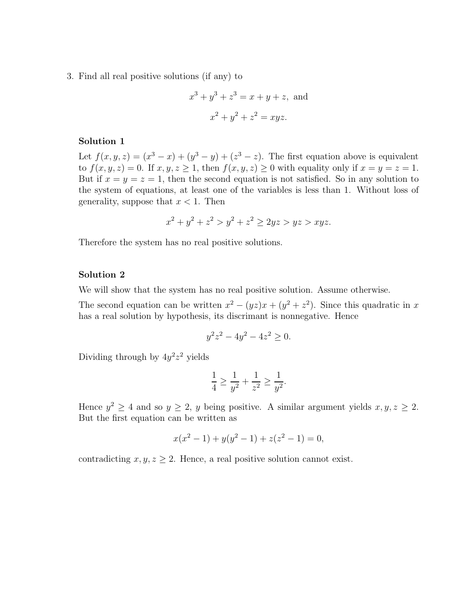3. Find all real positive solutions (if any) to

$$
x3 + y3 + z3 = x + y + z, and
$$

$$
x2 + y2 + z2 = xyz.
$$

#### **Solution 1**

Let  $f(x, y, z) = (x^3 - x) + (y^3 - y) + (z^3 - z)$ . The first equation above is equivalent to  $f(x, y, z) = 0$ . If  $x, y, z \ge 1$ , then  $f(x, y, z) \ge 0$  with equality only if  $x = y = z = 1$ . But if  $x = y = z = 1$ , then the second equation is not satisfied. So in any solution to the system of equations, at least one of the variables is less than 1. Without loss of generality, suppose that  $x < 1$ . Then

$$
x^2 + y^2 + z^2 > y^2 + z^2 \ge 2yz > yz > xyz.
$$

Therefore the system has no real positive solutions.

### **Solution 2**

We will show that the system has no real positive solution. Assume otherwise.

The second equation can be written  $x^2 - (yz)x + (y^2 + z^2)$ . Since this quadratic in *x* has a real solution by hypothesis, its discrimant is nonnegative. Hence

$$
y^2 z^2 - 4y^2 - 4z^2 \ge 0.
$$

Dividing through by  $4y^2z^2$  yields

$$
\frac{1}{4} \ge \frac{1}{y^2} + \frac{1}{z^2} \ge \frac{1}{y^2}.
$$

Hence  $y^2 \ge 4$  and so  $y \ge 2$ , y being positive. A similar argument yields  $x, y, z \ge 2$ . But the first equation can be written as

$$
x(x^{2} - 1) + y(y^{2} - 1) + z(z^{2} - 1) = 0,
$$

contradicting  $x, y, z \geq 2$ . Hence, a real positive solution cannot exist.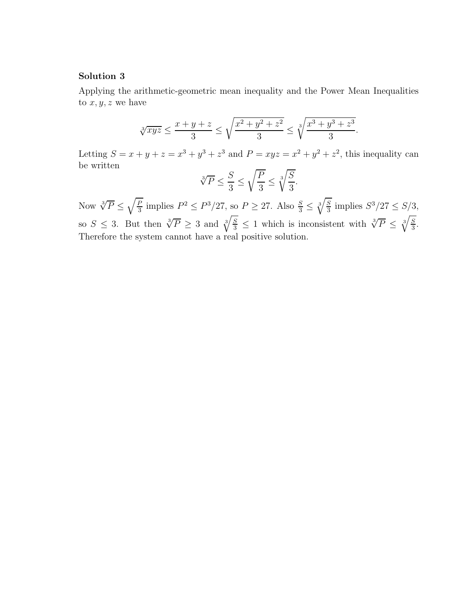### **Solution 3**

Applying the arithmetic-geometric mean inequality and the Power Mean Inequalities to  $x, y, z$  we have

$$
\sqrt[3]{xyz} \le \frac{x+y+z}{3} \le \sqrt{\frac{x^2+y^2+z^2}{3}} \le \sqrt[3]{\frac{x^3+y^3+z^3}{3}}.
$$

Letting  $S = x + y + z = x^3 + y^3 + z^3$  and  $P = xyz = x^2 + y^2 + z^2$ , this inequality can be written

$$
\sqrt[3]{P} \le \frac{S}{3} \le \sqrt{\frac{P}{3}} \le \sqrt[3]{\frac{S}{3}}.
$$

Now  $\sqrt[3]{P} \le \sqrt{\frac{P}{3}}$  implies  $P^2 \le P^3/27$ , so  $P \ge 27$ . Also  $\frac{S}{3} \le \sqrt[3]{3}$  $\sqrt{s}$  $\frac{S}{3}$  implies  $S^3/27 \leq S/3$ , so  $S \leq 3$ . But then  $\sqrt[3]{P} \geq 3$  and  $\sqrt[3]{\frac{S}{3}} \leq 1$  which is inconsistent with  $\sqrt[3]{P} \leq \sqrt[3]{\frac{S}{3}}$  $\frac{S}{3}$ . Therefore the system cannot have a real positive solution.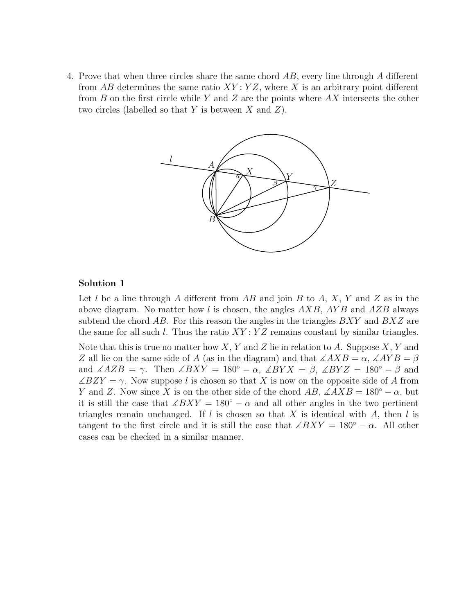4. Prove that when three circles share the same chord *AB*, every line through *A* different from *AB* determines the same ratio *XY* : *Y Z*, where *X* is an arbitrary point different from *B* on the first circle while *Y* and *Z* are the points where *AX* intersects the other two circles (labelled so that *Y* is between *X* and *Z*).



## **Solution 1**

Let *l* be a line through *A* different from *AB* and join *B* to *A*, *X*, *Y* and *Z* as in the above diagram. No matter how *l* is chosen, the angles *AXB*, *AY B* and *AZB* always subtend the chord *AB*. For this reason the angles in the triangles *BXY* and *BXZ* are the same for all such *l*. Thus the ratio *XY* : *Y Z* remains constant by similar triangles.

Note that this is true no matter how *X*, *Y* and *Z* lie in relation to *A*. Suppose *X*, *Y* and *Z* all lie on the same side of *A* (as in the diagram) and that  $\angle AXB = \alpha$ ,  $\angle AYB = \beta$ and  $\angle AZB = \gamma$ . Then  $\angle BXY = 180^\circ - \alpha$ ,  $\angle BYX = \beta$ ,  $\angle BYZ = 180^\circ - \beta$  and  $\angle BZY = \gamma$ . Now suppose *l* is chosen so that *X* is now on the opposite side of *A* from *Y* and *Z*. Now since *X* is on the other side of the chord *AB*,  $\angle AXB = 180° - \alpha$ , but it is still the case that  $\angle BXY = 180^\circ - \alpha$  and all other angles in the two pertinent triangles remain unchanged. If *l* is chosen so that *X* is identical with *A*, then *l* is tangent to the first circle and it is still the case that  $\angle BXY = 180° - \alpha$ . All other cases can be checked in a similar manner.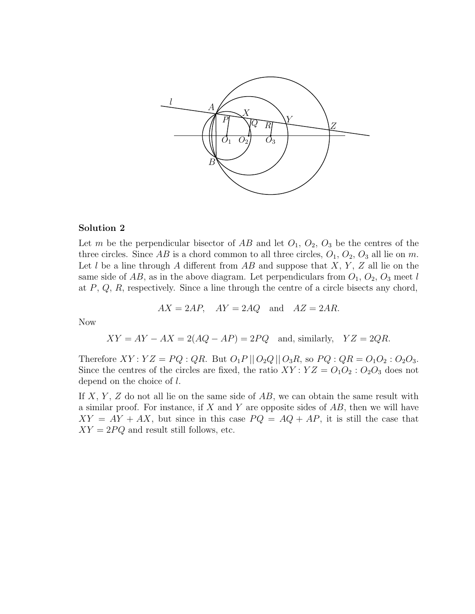

#### **Solution 2**

Let *m* be the perpendicular bisector of  $AB$  and let  $O_1$ ,  $O_2$ ,  $O_3$  be the centres of the three circles. Since  $AB$  is a chord common to all three circles,  $O_1$ ,  $O_2$ ,  $O_3$  all lie on  $m$ . Let *l* be a line through *A* different from *AB* and suppose that *X*, *Y* , *Z* all lie on the same side of  $AB$ , as in the above diagram. Let perpendiculars from  $O_1$ ,  $O_2$ ,  $O_3$  meet *l* at *P*, *Q*, *R*, respectively. Since a line through the centre of a circle bisects any chord,

$$
AX = 2AP, \quad AY = 2AQ \quad \text{and} \quad AZ = 2AR.
$$

Now

$$
XY = AY - AX = 2(AQ - AP) = 2PQ
$$
 and, similarly,  $YZ = 2QR$ .

Therefore  $XY: YZ = PQ$  :  $QR$ . But  $O_1P || O_2Q || O_3R$ , so  $PQ: QR = O_1O_2: O_2O_3$ . Since the centres of the circles are fixed, the ratio  $XY:YZ=O_1O_2:O_2O_3$  does not depend on the choice of *l*.

If *X*, *Y* , *Z* do not all lie on the same side of *AB*, we can obtain the same result with a similar proof. For instance, if *X* and *Y* are opposite sides of *AB*, then we will have  $XY = AY + AX$ , but since in this case  $PQ = AQ + AP$ , it is still the case that  $XY = 2PQ$  and result still follows, etc.